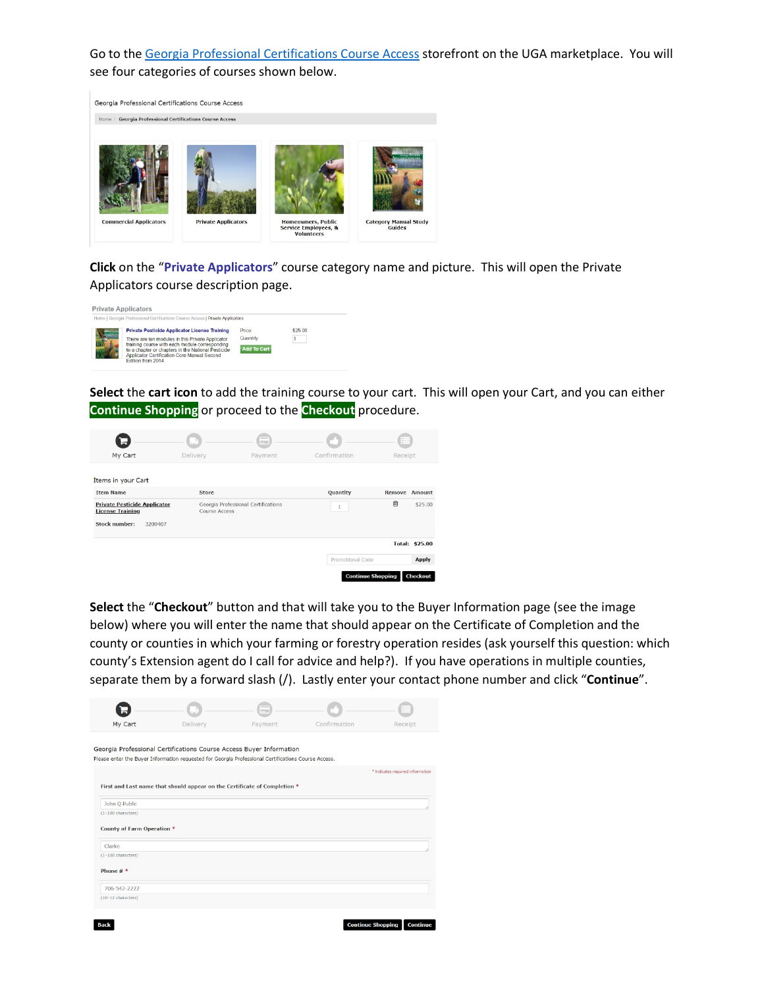Go to the [Georgia Professional Certifications Course Access](https://estore.uga.edu/C27063_ustores/web/store_main.jsp?STOREID=284) storefront on the UGA marketplace. You will see four categories of courses shown below.



**Click** on the "**Private Applicators**" course category name and picture. This will open the Private Applicators course description page.



**Select** the **cart icon** to add the training course to your cart. This will open your Cart, and you can either **Continue Shopping** or proceed to the **Checkout** procedure.



**Select** the "**Checkout**" button and that will take you to the Buyer Information page (see the image below) where you will enter the name that should appear on the Certificate of Completion and the county or counties in which your farming or forestry operation resides (ask yourself this question: which county's Extension agent do I call for advice and help?). If you have operations in multiple counties, separate them by a forward slash (/). Lastly enter your contact phone number and click "**Continue**".

Continue Shopping Continu

| My Cart                    | Delivery                                                                                            | Payment | Confirmation | Receipt                          |
|----------------------------|-----------------------------------------------------------------------------------------------------|---------|--------------|----------------------------------|
|                            |                                                                                                     |         |              |                                  |
|                            | Georgia Professional Certifications Course Access Buyer Information                                 |         |              |                                  |
|                            | Please enter the Buyer Information requested for Georgia Professional Certifications Course Access. |         |              |                                  |
|                            |                                                                                                     |         |              | * Indicates required information |
|                            |                                                                                                     |         |              |                                  |
|                            | First and Last name that should appear on the Certificate of Completion *                           |         |              |                                  |
| John Q Public              |                                                                                                     |         |              |                                  |
| $(1-100$ characters)       |                                                                                                     |         |              |                                  |
| County of Farm Operation * |                                                                                                     |         |              |                                  |
| Clarke                     |                                                                                                     |         |              |                                  |
| $(1-100$ characters)       |                                                                                                     |         |              |                                  |
| Phone $#$ *                |                                                                                                     |         |              |                                  |
| 706-542-2222               |                                                                                                     |         |              |                                  |
| (10-12 characters)         |                                                                                                     |         |              |                                  |
|                            |                                                                                                     |         |              |                                  |
|                            |                                                                                                     |         |              |                                  |

 $Back$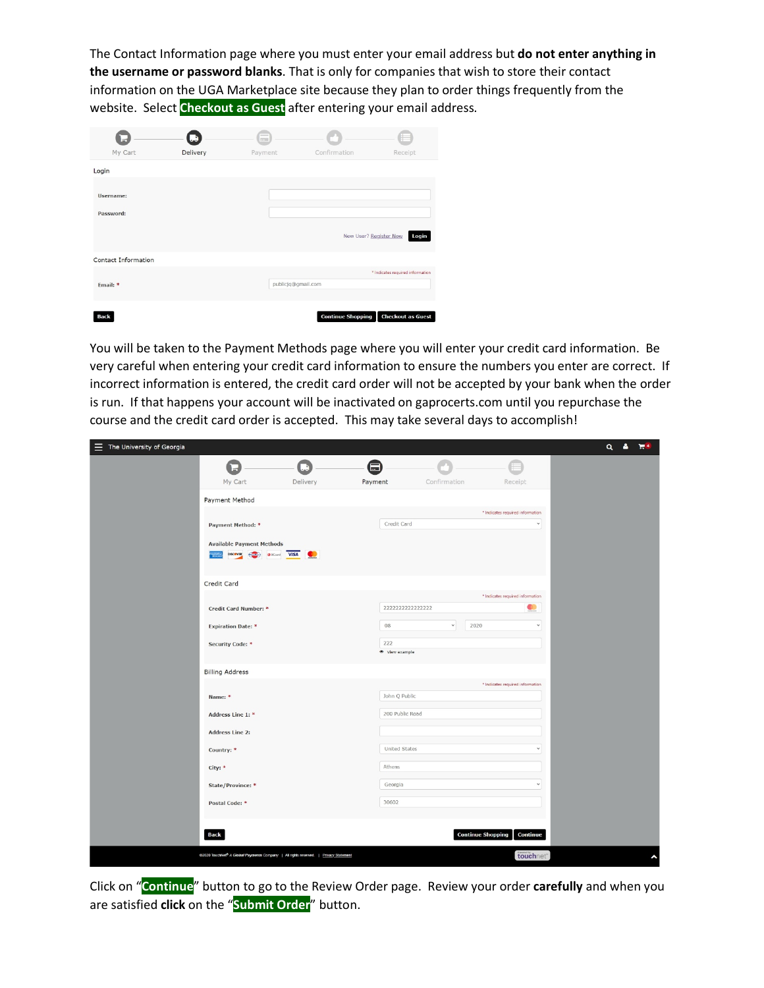The Contact Information page where you must enter your email address but **do not enter anything in the username or password blanks**. That is only for companies that wish to store their contact information on the UGA Marketplace site because they plan to order things frequently from the website. Select **Checkout as Guest** after entering your email address.

|                        | u        | <b>COL</b>         |                          |                                  |
|------------------------|----------|--------------------|--------------------------|----------------------------------|
| My Cart                | Delivery | Payment            | Confirmation             | Receipt                          |
| Login                  |          |                    |                          |                                  |
| Username:<br>Password: |          |                    |                          | New User? Register Now<br>Login  |
| Contact Information    |          |                    |                          |                                  |
| Email: *               |          | publicjq@gmail.com |                          | * Indicates required information |
| Back                   |          |                    | <b>Continue Shopping</b> | <b>Checkout as Guest</b>         |

You will be taken to the Payment Methods page where you will enter your credit card information. Be very careful when entering your credit card information to ensure the numbers you enter are correct. If incorrect information is entered, the credit card order will not be accepted by your bank when the order is run. If that happens your account will be inactivated on gaprocerts.com until you repurchase the course and the credit card order is accepted. This may take several days to accomplish!

| $\equiv$ The University of Georgia |                                                                                                  |          |                      |              |                                      |  | $Q$ $\Delta$ | $\mathbb{R}^4$ |
|------------------------------------|--------------------------------------------------------------------------------------------------|----------|----------------------|--------------|--------------------------------------|--|--------------|----------------|
|                                    |                                                                                                  |          | 曰                    |              |                                      |  |              |                |
|                                    | My Cart                                                                                          | Delivery | Payment              | Confirmation | Receipt                              |  |              |                |
|                                    | Payment Method                                                                                   |          |                      |              |                                      |  |              |                |
|                                    |                                                                                                  |          |                      |              | * Indicates required information     |  |              |                |
|                                    | Payment Method: *                                                                                |          | Credit Card          |              | $\checkmark$                         |  |              |                |
|                                    | <b>Available Payment Methods</b>                                                                 |          |                      |              |                                      |  |              |                |
|                                    | <b>DISCOVER</b><br><b>ODCcard</b> VISA                                                           | w        |                      |              |                                      |  |              |                |
|                                    | Credit Card                                                                                      |          |                      |              |                                      |  |              |                |
|                                    |                                                                                                  |          |                      |              | * Indicates required information     |  |              |                |
|                                    | Credit Card Number: *                                                                            |          | 2222222222222222     |              | Q                                    |  |              |                |
|                                    | <b>Expiration Date: *</b>                                                                        |          | 08                   | $\checkmark$ | 2020<br>$\checkmark$                 |  |              |                |
|                                    | <b>Security Code: *</b>                                                                          |          | 222                  |              |                                      |  |              |                |
|                                    |                                                                                                  |          | · View example       |              |                                      |  |              |                |
|                                    | <b>Billing Address</b>                                                                           |          |                      |              |                                      |  |              |                |
|                                    |                                                                                                  |          |                      |              | * Indicates required information     |  |              |                |
|                                    | Name: *                                                                                          |          | John Q Public        |              |                                      |  |              |                |
|                                    | Address Line 1: *                                                                                |          | 200 Public Road      |              |                                      |  |              |                |
|                                    | <b>Address Line 2:</b>                                                                           |          |                      |              |                                      |  |              |                |
|                                    | Country: *                                                                                       |          | <b>United States</b> |              | $\checkmark$                         |  |              |                |
|                                    | City: *                                                                                          |          | Athens               |              |                                      |  |              |                |
|                                    | State/Province: *                                                                                |          | Georgia              |              | $\checkmark$                         |  |              |                |
|                                    | Postal Code: *                                                                                   |          | 30602                |              |                                      |  |              |                |
|                                    |                                                                                                  |          |                      |              |                                      |  |              |                |
|                                    | <b>Back</b>                                                                                      |          |                      |              | <b>Continue Shopping</b><br>Continue |  |              |                |
|                                    | 02020 TouchNet <sup>®</sup> A Global Payments Company   All rights reserved.   Privacy Statement |          |                      |              | touchnet <sup>®</sup>                |  |              | ٨              |

Click on "**Continue**" button to go to the Review Order page. Review your order **carefully** and when you are satisfied **click** on the "**Submit Order**" button.